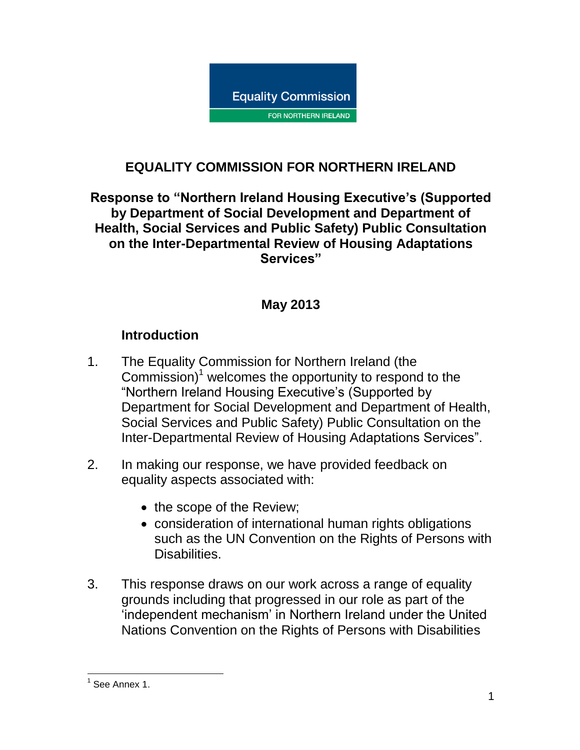

# **EQUALITY COMMISSION FOR NORTHERN IRELAND**

**Response to "Northern Ireland Housing Executive's (Supported by Department of Social Development and Department of Health, Social Services and Public Safety) Public Consultation on the Inter-Departmental Review of Housing Adaptations Services"**

#### **May 2013**

#### **Introduction**

- 1. The Equality Commission for Northern Ireland (the Commission)<sup>1</sup> welcomes the opportunity to respond to the "Northern Ireland Housing Executive's (Supported by Department for Social Development and Department of Health, Social Services and Public Safety) Public Consultation on the Inter-Departmental Review of Housing Adaptations Services".
- 2. In making our response, we have provided feedback on equality aspects associated with:
	- the scope of the Review;
	- consideration of international human rights obligations such as the UN Convention on the Rights of Persons with Disabilities.
- 3. This response draws on our work across a range of equality grounds including that progressed in our role as part of the 'independent mechanism' in Northern Ireland under the United Nations Convention on the Rights of Persons with Disabilities

 1 See Annex 1.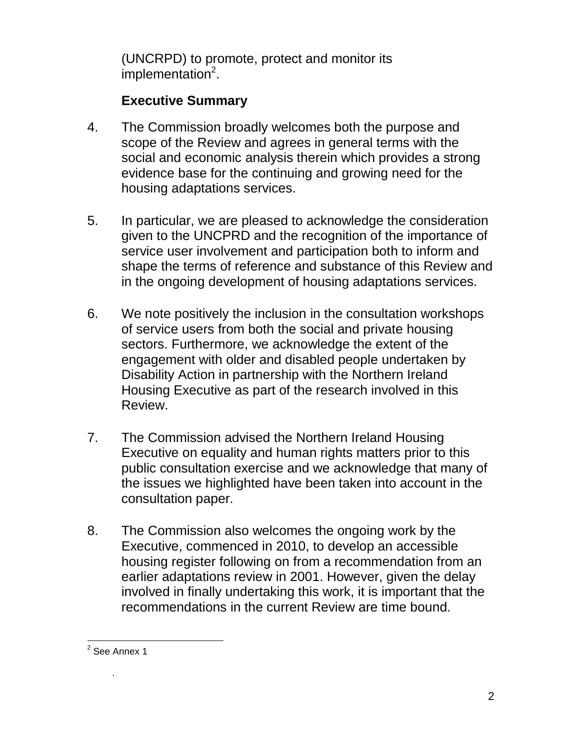(UNCRPD) to promote, protect and monitor its implementation<sup>2</sup>.

# **Executive Summary**

- 4. The Commission broadly welcomes both the purpose and scope of the Review and agrees in general terms with the social and economic analysis therein which provides a strong evidence base for the continuing and growing need for the housing adaptations services.
- 5. In particular, we are pleased to acknowledge the consideration given to the UNCPRD and the recognition of the importance of service user involvement and participation both to inform and shape the terms of reference and substance of this Review and in the ongoing development of housing adaptations services.
- 6. We note positively the inclusion in the consultation workshops of service users from both the social and private housing sectors. Furthermore, we acknowledge the extent of the engagement with older and disabled people undertaken by Disability Action in partnership with the Northern Ireland Housing Executive as part of the research involved in this Review.
- 7. The Commission advised the Northern Ireland Housing Executive on equality and human rights matters prior to this public consultation exercise and we acknowledge that many of the issues we highlighted have been taken into account in the consultation paper.
- 8. The Commission also welcomes the ongoing work by the Executive, commenced in 2010, to develop an accessible housing register following on from a recommendation from an earlier adaptations review in 2001. However, given the delay involved in finally undertaking this work, it is important that the recommendations in the current Review are time bound.

.

 2 See Annex 1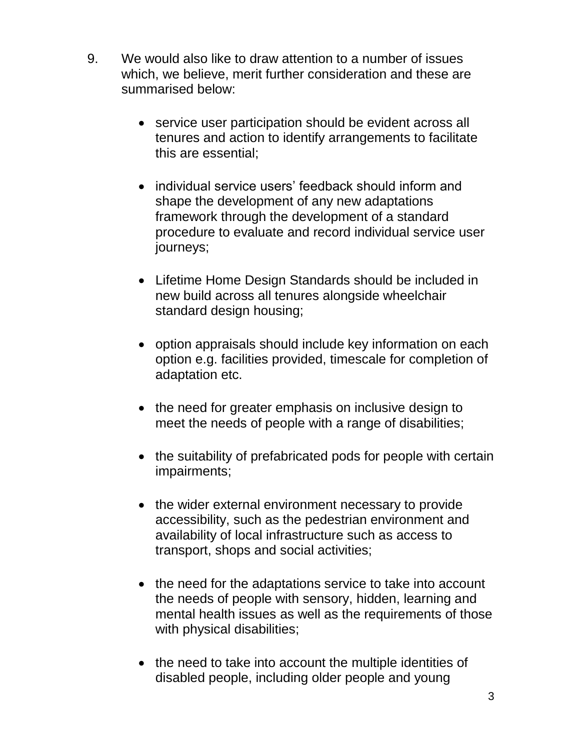- 9. We would also like to draw attention to a number of issues which, we believe, merit further consideration and these are summarised below:
	- service user participation should be evident across all tenures and action to identify arrangements to facilitate this are essential;
	- individual service users' feedback should inform and shape the development of any new adaptations framework through the development of a standard procedure to evaluate and record individual service user journeys;
	- Lifetime Home Design Standards should be included in new build across all tenures alongside wheelchair standard design housing;
	- option appraisals should include key information on each option e.g. facilities provided, timescale for completion of adaptation etc.
	- the need for greater emphasis on inclusive design to meet the needs of people with a range of disabilities;
	- the suitability of prefabricated pods for people with certain impairments;
	- the wider external environment necessary to provide accessibility, such as the pedestrian environment and availability of local infrastructure such as access to transport, shops and social activities;
	- the need for the adaptations service to take into account the needs of people with sensory, hidden, learning and mental health issues as well as the requirements of those with physical disabilities;
	- the need to take into account the multiple identities of disabled people, including older people and young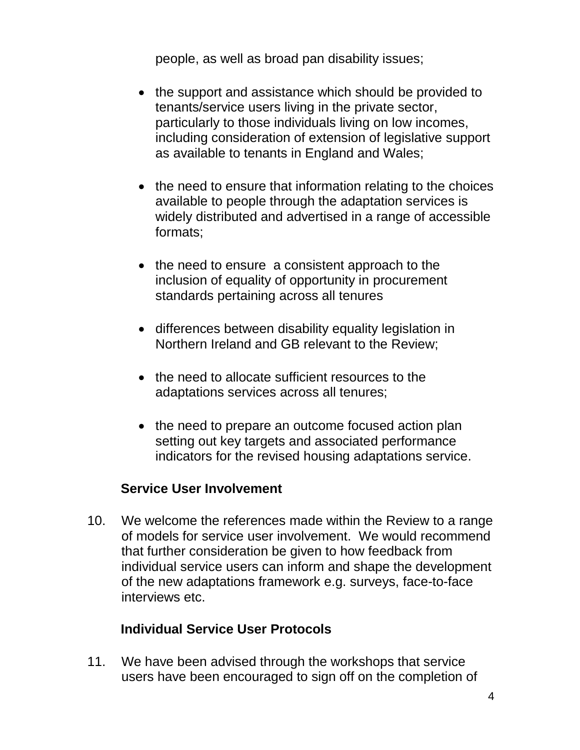people, as well as broad pan disability issues;

- the support and assistance which should be provided to tenants/service users living in the private sector, particularly to those individuals living on low incomes, including consideration of extension of legislative support as available to tenants in England and Wales;
- the need to ensure that information relating to the choices available to people through the adaptation services is widely distributed and advertised in a range of accessible formats;
- the need to ensure a consistent approach to the inclusion of equality of opportunity in procurement standards pertaining across all tenures
- differences between disability equality legislation in Northern Ireland and GB relevant to the Review;
- the need to allocate sufficient resources to the adaptations services across all tenures;
- the need to prepare an outcome focused action plan setting out key targets and associated performance indicators for the revised housing adaptations service.

#### **Service User Involvement**

10. We welcome the references made within the Review to a range of models for service user involvement. We would recommend that further consideration be given to how feedback from individual service users can inform and shape the development of the new adaptations framework e.g. surveys, face-to-face interviews etc.

### **Individual Service User Protocols**

11. We have been advised through the workshops that service users have been encouraged to sign off on the completion of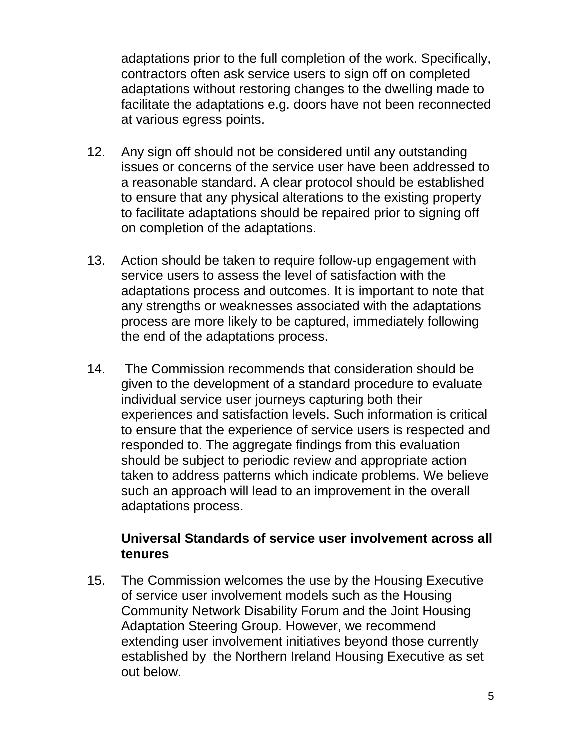adaptations prior to the full completion of the work. Specifically, contractors often ask service users to sign off on completed adaptations without restoring changes to the dwelling made to facilitate the adaptations e.g. doors have not been reconnected at various egress points.

- 12. Any sign off should not be considered until any outstanding issues or concerns of the service user have been addressed to a reasonable standard. A clear protocol should be established to ensure that any physical alterations to the existing property to facilitate adaptations should be repaired prior to signing off on completion of the adaptations.
- 13. Action should be taken to require follow-up engagement with service users to assess the level of satisfaction with the adaptations process and outcomes. It is important to note that any strengths or weaknesses associated with the adaptations process are more likely to be captured, immediately following the end of the adaptations process.
- 14. The Commission recommends that consideration should be given to the development of a standard procedure to evaluate individual service user journeys capturing both their experiences and satisfaction levels. Such information is critical to ensure that the experience of service users is respected and responded to. The aggregate findings from this evaluation should be subject to periodic review and appropriate action taken to address patterns which indicate problems. We believe such an approach will lead to an improvement in the overall adaptations process.

#### **Universal Standards of service user involvement across all tenures**

15. The Commission welcomes the use by the Housing Executive of service user involvement models such as the Housing Community Network Disability Forum and the Joint Housing Adaptation Steering Group. However, we recommend extending user involvement initiatives beyond those currently established by the Northern Ireland Housing Executive as set out below.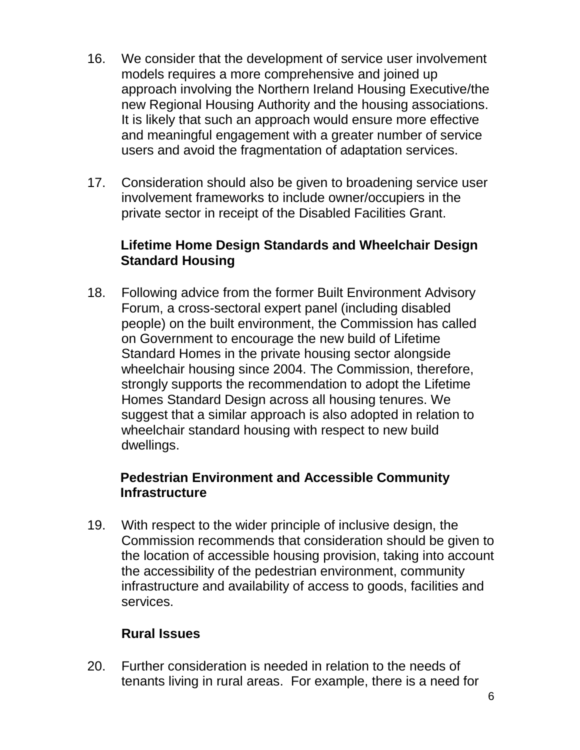- 16. We consider that the development of service user involvement models requires a more comprehensive and joined up approach involving the Northern Ireland Housing Executive/the new Regional Housing Authority and the housing associations. It is likely that such an approach would ensure more effective and meaningful engagement with a greater number of service users and avoid the fragmentation of adaptation services.
- 17. Consideration should also be given to broadening service user involvement frameworks to include owner/occupiers in the private sector in receipt of the Disabled Facilities Grant.

#### **Lifetime Home Design Standards and Wheelchair Design Standard Housing**

18. Following advice from the former Built Environment Advisory Forum, a cross-sectoral expert panel (including disabled people) on the built environment, the Commission has called on Government to encourage the new build of Lifetime Standard Homes in the private housing sector alongside wheelchair housing since 2004. The Commission, therefore, strongly supports the recommendation to adopt the Lifetime Homes Standard Design across all housing tenures. We suggest that a similar approach is also adopted in relation to wheelchair standard housing with respect to new build dwellings.

#### **Pedestrian Environment and Accessible Community Infrastructure**

19. With respect to the wider principle of inclusive design, the Commission recommends that consideration should be given to the location of accessible housing provision, taking into account the accessibility of the pedestrian environment, community infrastructure and availability of access to goods, facilities and services.

#### **Rural Issues**

20. Further consideration is needed in relation to the needs of tenants living in rural areas. For example, there is a need for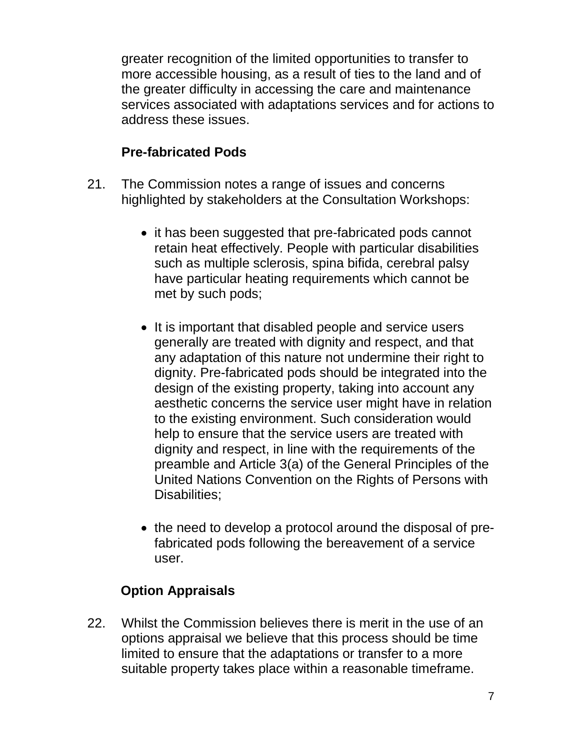greater recognition of the limited opportunities to transfer to more accessible housing, as a result of ties to the land and of the greater difficulty in accessing the care and maintenance services associated with adaptations services and for actions to address these issues.

### **Pre-fabricated Pods**

- 21. The Commission notes a range of issues and concerns highlighted by stakeholders at the Consultation Workshops:
	- it has been suggested that pre-fabricated pods cannot retain heat effectively. People with particular disabilities such as multiple sclerosis, spina bifida, cerebral palsy have particular heating requirements which cannot be met by such pods;
	- It is important that disabled people and service users generally are treated with dignity and respect, and that any adaptation of this nature not undermine their right to dignity. Pre-fabricated pods should be integrated into the design of the existing property, taking into account any aesthetic concerns the service user might have in relation to the existing environment. Such consideration would help to ensure that the service users are treated with dignity and respect, in line with the requirements of the preamble and Article 3(a) of the General Principles of the United Nations Convention on the Rights of Persons with Disabilities;
	- the need to develop a protocol around the disposal of prefabricated pods following the bereavement of a service user.

# **Option Appraisals**

22. Whilst the Commission believes there is merit in the use of an options appraisal we believe that this process should be time limited to ensure that the adaptations or transfer to a more suitable property takes place within a reasonable timeframe.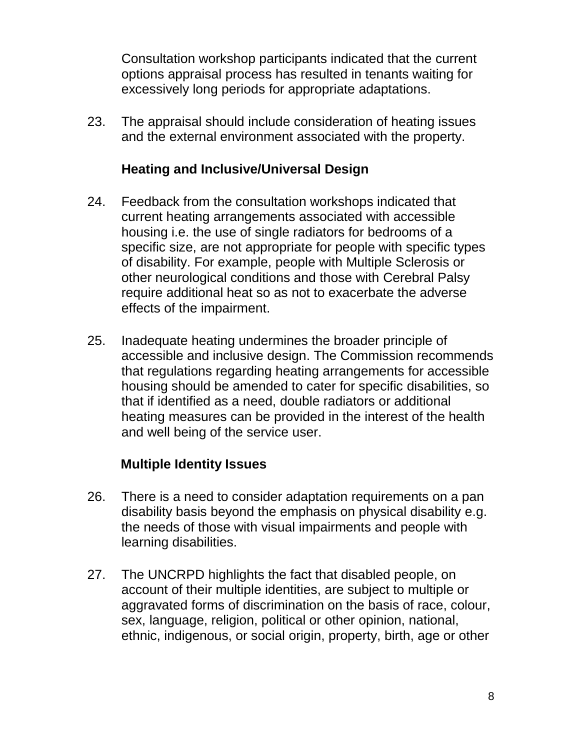Consultation workshop participants indicated that the current options appraisal process has resulted in tenants waiting for excessively long periods for appropriate adaptations.

23. The appraisal should include consideration of heating issues and the external environment associated with the property.

#### **Heating and Inclusive/Universal Design**

- 24. Feedback from the consultation workshops indicated that current heating arrangements associated with accessible housing i.e. the use of single radiators for bedrooms of a specific size, are not appropriate for people with specific types of disability. For example, people with Multiple Sclerosis or other neurological conditions and those with Cerebral Palsy require additional heat so as not to exacerbate the adverse effects of the impairment.
- 25. Inadequate heating undermines the broader principle of accessible and inclusive design. The Commission recommends that regulations regarding heating arrangements for accessible housing should be amended to cater for specific disabilities, so that if identified as a need, double radiators or additional heating measures can be provided in the interest of the health and well being of the service user.

#### **Multiple Identity Issues**

- 26. There is a need to consider adaptation requirements on a pan disability basis beyond the emphasis on physical disability e.g. the needs of those with visual impairments and people with learning disabilities.
- 27. The UNCRPD highlights the fact that disabled people, on account of their multiple identities, are subject to multiple or aggravated forms of discrimination on the basis of race, colour, sex, language, religion, political or other opinion, national, ethnic, indigenous, or social origin, property, birth, age or other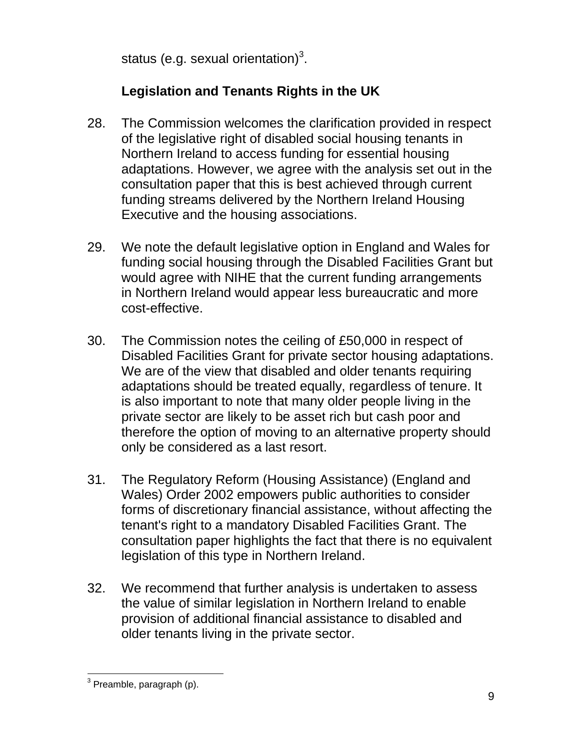status (e.g. sexual orientation) $3$ .

# **Legislation and Tenants Rights in the UK**

- 28. The Commission welcomes the clarification provided in respect of the legislative right of disabled social housing tenants in Northern Ireland to access funding for essential housing adaptations. However, we agree with the analysis set out in the consultation paper that this is best achieved through current funding streams delivered by the Northern Ireland Housing Executive and the housing associations.
- 29. We note the default legislative option in England and Wales for funding social housing through the Disabled Facilities Grant but would agree with NIHE that the current funding arrangements in Northern Ireland would appear less bureaucratic and more cost-effective.
- 30. The Commission notes the ceiling of £50,000 in respect of Disabled Facilities Grant for private sector housing adaptations. We are of the view that disabled and older tenants requiring adaptations should be treated equally, regardless of tenure. It is also important to note that many older people living in the private sector are likely to be asset rich but cash poor and therefore the option of moving to an alternative property should only be considered as a last resort.
- 31. The Regulatory Reform (Housing Assistance) (England and Wales) Order 2002 empowers public authorities to consider forms of discretionary financial assistance, without affecting the tenant's right to a mandatory Disabled Facilities Grant. The consultation paper highlights the fact that there is no equivalent legislation of this type in Northern Ireland.
- 32. We recommend that further analysis is undertaken to assess the value of similar legislation in Northern Ireland to enable provision of additional financial assistance to disabled and older tenants living in the private sector.

<sup>&</sup>lt;u>a</u><br><sup>3</sup> Preamble, paragraph (p).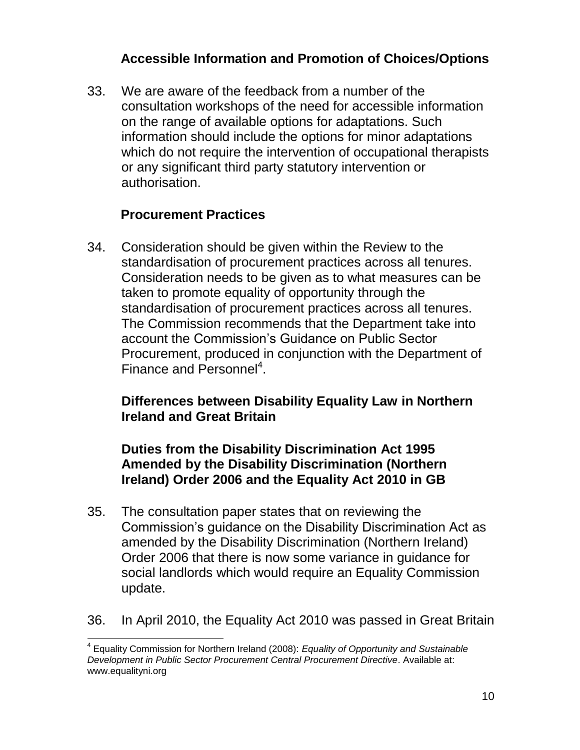### **Accessible Information and Promotion of Choices/Options**

33. We are aware of the feedback from a number of the consultation workshops of the need for accessible information on the range of available options for adaptations. Such information should include the options for minor adaptations which do not require the intervention of occupational therapists or any significant third party statutory intervention or authorisation.

### **Procurement Practices**

34. Consideration should be given within the Review to the standardisation of procurement practices across all tenures. Consideration needs to be given as to what measures can be taken to promote equality of opportunity through the standardisation of procurement practices across all tenures. The Commission recommends that the Department take into account the Commission's Guidance on Public Sector Procurement, produced in conjunction with the Department of Finance and Personnel<sup>4</sup>.

#### **Differences between Disability Equality Law in Northern Ireland and Great Britain**

#### **Duties from the Disability Discrimination Act 1995 Amended by the Disability Discrimination (Northern Ireland) Order 2006 and the Equality Act 2010 in GB**

- 35. The consultation paper states that on reviewing the Commission's guidance on the Disability Discrimination Act as amended by the Disability Discrimination (Northern Ireland) Order 2006 that there is now some variance in guidance for social landlords which would require an Equality Commission update.
- 36. In April 2010, the Equality Act 2010 was passed in Great Britain

 $\overline{\phantom{a}}$ 4 Equality Commission for Northern Ireland (2008): *Equality of Opportunity and Sustainable Development in Public Sector Procurement Central Procurement Directive*. Available at: www.equalityni.org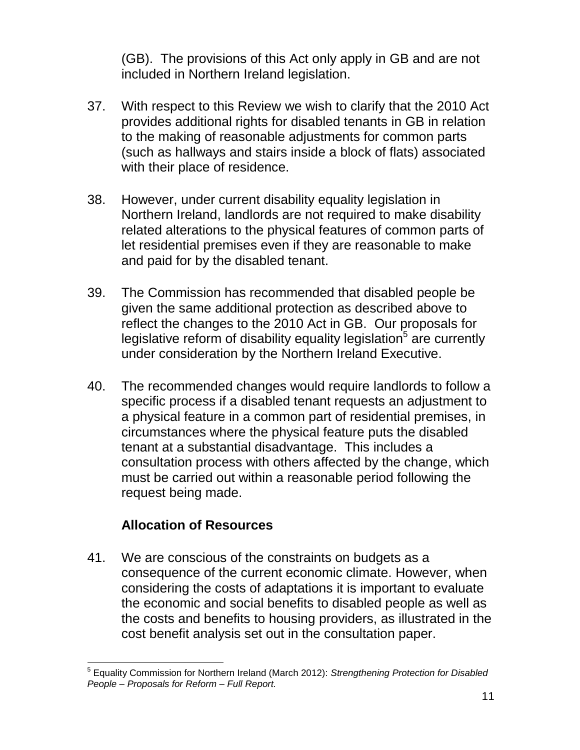(GB). The provisions of this Act only apply in GB and are not included in Northern Ireland legislation.

- 37. With respect to this Review we wish to clarify that the 2010 Act provides additional rights for disabled tenants in GB in relation to the making of reasonable adjustments for common parts (such as hallways and stairs inside a block of flats) associated with their place of residence.
- 38. However, under current disability equality legislation in Northern Ireland, landlords are not required to make disability related alterations to the physical features of common parts of let residential premises even if they are reasonable to make and paid for by the disabled tenant.
- 39. The Commission has recommended that disabled people be given the same additional protection as described above to reflect the changes to the 2010 Act in GB. Our proposals for legislative reform of disability equality legislation $5$  are currently under consideration by the Northern Ireland Executive.
- 40. The recommended changes would require landlords to follow a specific process if a disabled tenant requests an adjustment to a physical feature in a common part of residential premises, in circumstances where the physical feature puts the disabled tenant at a substantial disadvantage. This includes a consultation process with others affected by the change, which must be carried out within a reasonable period following the request being made.

### **Allocation of Resources**

41. We are conscious of the constraints on budgets as a consequence of the current economic climate. However, when considering the costs of adaptations it is important to evaluate the economic and social benefits to disabled people as well as the costs and benefits to housing providers, as illustrated in the cost benefit analysis set out in the consultation paper.

 $\overline{a}$ 5 Equality Commission for Northern Ireland (March 2012): *Strengthening Protection for Disabled People – Proposals for Reform – Full Report.*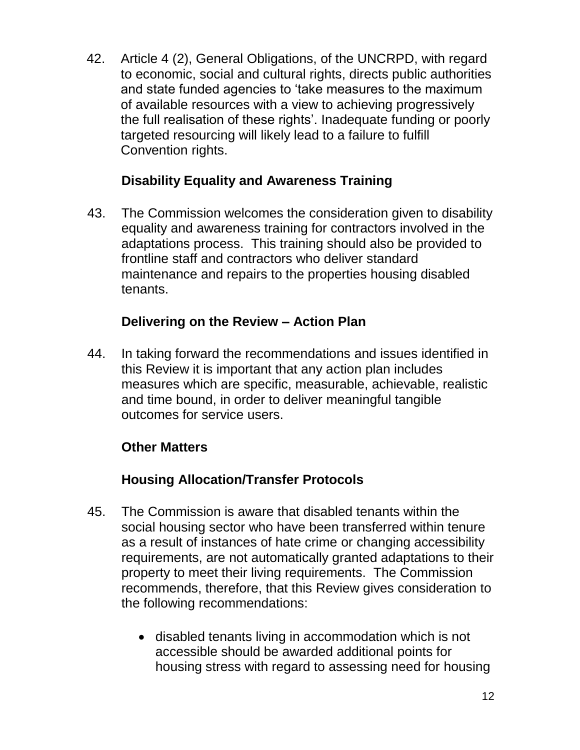42. Article 4 (2), General Obligations, of the UNCRPD, with regard to economic, social and cultural rights, directs public authorities and state funded agencies to 'take measures to the maximum of available resources with a view to achieving progressively the full realisation of these rights'. Inadequate funding or poorly targeted resourcing will likely lead to a failure to fulfill Convention rights.

# **Disability Equality and Awareness Training**

43. The Commission welcomes the consideration given to disability equality and awareness training for contractors involved in the adaptations process. This training should also be provided to frontline staff and contractors who deliver standard maintenance and repairs to the properties housing disabled tenants.

# **Delivering on the Review – Action Plan**

44. In taking forward the recommendations and issues identified in this Review it is important that any action plan includes measures which are specific, measurable, achievable, realistic and time bound, in order to deliver meaningful tangible outcomes for service users.

### **Other Matters**

# **Housing Allocation/Transfer Protocols**

- 45. The Commission is aware that disabled tenants within the social housing sector who have been transferred within tenure as a result of instances of hate crime or changing accessibility requirements, are not automatically granted adaptations to their property to meet their living requirements. The Commission recommends, therefore, that this Review gives consideration to the following recommendations:
	- disabled tenants living in accommodation which is not accessible should be awarded additional points for housing stress with regard to assessing need for housing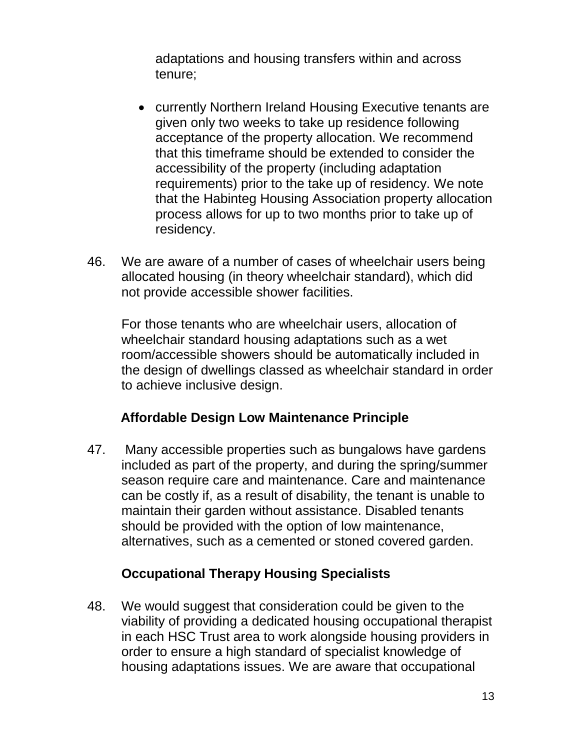adaptations and housing transfers within and across tenure;

- currently Northern Ireland Housing Executive tenants are given only two weeks to take up residence following acceptance of the property allocation. We recommend that this timeframe should be extended to consider the accessibility of the property (including adaptation requirements) prior to the take up of residency. We note that the Habinteg Housing Association property allocation process allows for up to two months prior to take up of residency.
- 46. We are aware of a number of cases of wheelchair users being allocated housing (in theory wheelchair standard), which did not provide accessible shower facilities.

For those tenants who are wheelchair users, allocation of wheelchair standard housing adaptations such as a wet room/accessible showers should be automatically included in the design of dwellings classed as wheelchair standard in order to achieve inclusive design.

### **Affordable Design Low Maintenance Principle**

47. Many accessible properties such as bungalows have gardens included as part of the property, and during the spring/summer season require care and maintenance. Care and maintenance can be costly if, as a result of disability, the tenant is unable to maintain their garden without assistance. Disabled tenants should be provided with the option of low maintenance, alternatives, such as a cemented or stoned covered garden.

### **Occupational Therapy Housing Specialists**

48. We would suggest that consideration could be given to the viability of providing a dedicated housing occupational therapist in each HSC Trust area to work alongside housing providers in order to ensure a high standard of specialist knowledge of housing adaptations issues. We are aware that occupational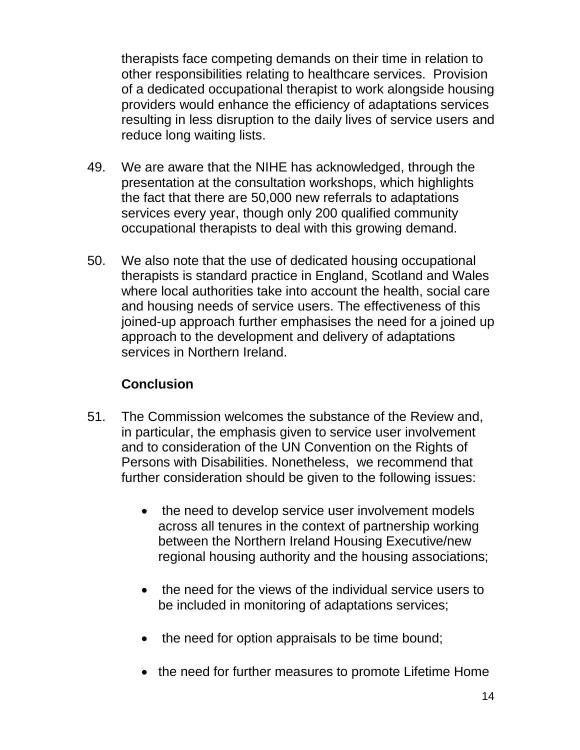therapists face competing demands on their time in relation to other responsibilities relating to healthcare services. Provision of a dedicated occupational therapist to work alongside housing providers would enhance the efficiency of adaptations services resulting in less disruption to the daily lives of service users and reduce long waiting lists.

- 49. We are aware that the NIHE has acknowledged, through the presentation at the consultation workshops, which highlights the fact that there are 50,000 new referrals to adaptations services every year, though only 200 qualified community occupational therapists to deal with this growing demand.
- 50. We also note that the use of dedicated housing occupational therapists is standard practice in England, Scotland and Wales where local authorities take into account the health, social care and housing needs of service users. The effectiveness of this joined-up approach further emphasises the need for a joined up approach to the development and delivery of adaptations services in Northern Ireland.

### **Conclusion**

- 51. The Commission welcomes the substance of the Review and, in particular, the emphasis given to service user involvement and to consideration of the UN Convention on the Rights of Persons with Disabilities. Nonetheless, we recommend that further consideration should be given to the following issues:
	- the need to develop service user involvement models across all tenures in the context of partnership working between the Northern Ireland Housing Executive/new regional housing authority and the housing associations;
	- the need for the views of the individual service users to be included in monitoring of adaptations services;
	- the need for option appraisals to be time bound;
	- the need for further measures to promote Lifetime Home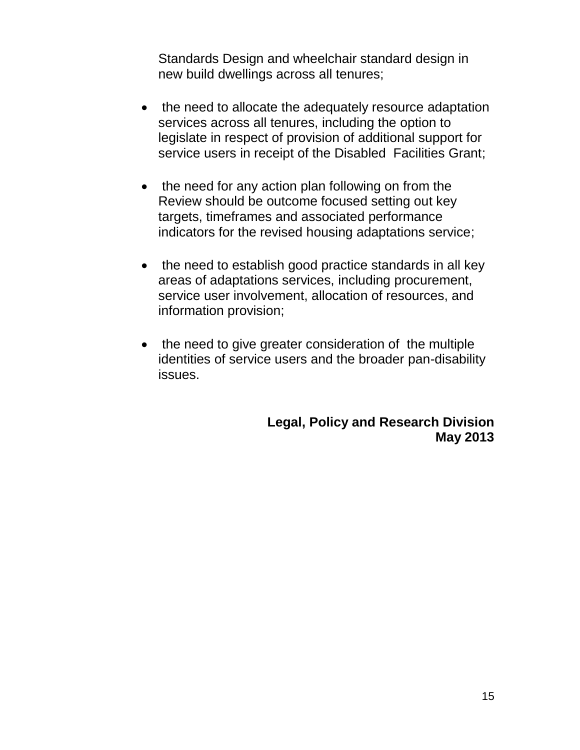Standards Design and wheelchair standard design in new build dwellings across all tenures;

- the need to allocate the adequately resource adaptation services across all tenures, including the option to legislate in respect of provision of additional support for service users in receipt of the Disabled Facilities Grant;
- the need for any action plan following on from the Review should be outcome focused setting out key targets, timeframes and associated performance indicators for the revised housing adaptations service;
- the need to establish good practice standards in all key areas of adaptations services, including procurement, service user involvement, allocation of resources, and information provision;
- the need to give greater consideration of the multiple identities of service users and the broader pan-disability issues.

**Legal, Policy and Research Division May 2013**